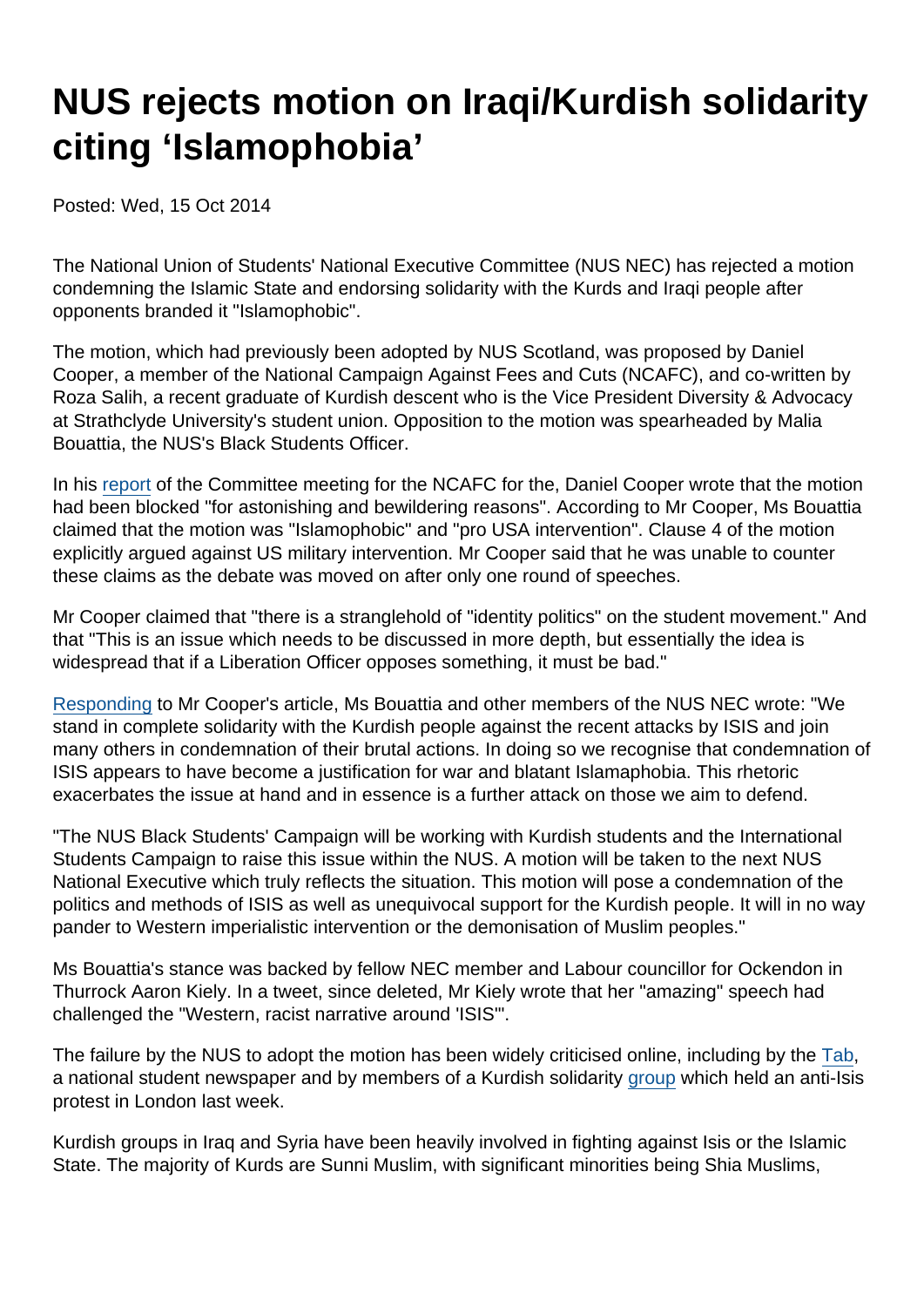## NUS rejects motion on Iraqi/Kurdish solidarity citing 'Islamophobia'

Posted: Wed, 15 Oct 2014

The National Union of Students' National Executive Committee (NUS NEC) has rejected a motion condemning the Islamic State and endorsing solidarity with the Kurds and Iraqi people after opponents branded it "Islamophobic".

The motion, which had previously been adopted by NUS Scotland, was proposed by Daniel Cooper, a member of the National Campaign Against Fees and Cuts (NCAFC), and co-written by Roza Salih, a recent graduate of Kurdish descent who is the Vice President Diversity & Advocacy at Strathclyde University's student union. Opposition to the motion was spearheaded by Malia Bouattia, the NUS's Black Students Officer.

In his [report](http://anticuts.com/2014/10/07/report-of-nus-nec-success-on-national-demonstration-disgrace-on-iraqkurdistan/) of the Committee meeting for the NCAFC for the, Daniel Cooper wrote that the motion had been blocked "for astonishing and bewildering reasons". According to Mr Cooper, Ms Bouattia claimed that the motion was "Islamophobic" and "pro USA intervention". Clause 4 of the motion explicitly argued against US military intervention. Mr Cooper said that he was unable to counter these claims as the debate was moved on after only one round of speeches.

Mr Cooper claimed that "there is a stranglehold of "identity politics" on the student movement." And that "This is an issue which needs to be discussed in more depth, but essentially the idea is widespread that if a Liberation Officer opposes something, it must be bad."

[Responding](http://anticuts.com/2014/10/13/a-response-to-a-report-of-nus-nec-solidarity-with-the-kurds/) to Mr Cooper's article, Ms Bouattia and other members of the NUS NEC wrote: "We stand in complete solidarity with the Kurdish people against the recent attacks by ISIS and join many others in condemnation of their brutal actions. In doing so we recognise that condemnation of ISIS appears to have become a justification for war and blatant Islamaphobia. This rhetoric exacerbates the issue at hand and in essence is a further attack on those we aim to defend.

"The NUS Black Students' Campaign will be working with Kurdish students and the International Students Campaign to raise this issue within the NUS. A motion will be taken to the next NUS National Executive which truly reflects the situation. This motion will pose a condemnation of the politics and methods of ISIS as well as unequivocal support for the Kurdish people. It will in no way pander to Western imperialistic intervention or the demonisation of Muslim peoples."

Ms Bouattia's stance was backed by fellow NEC member and Labour councillor for Ockendon in Thurrock Aaron Kiely. In a tweet, since deleted, Mr Kiely wrote that her "amazing" speech had challenged the "Western, racist narrative around 'ISIS'".

The failure by the NUS to adopt the motion has been widely criticised online, including by the [Tab](http://tab.co.uk/2014/10/14/nus-refuses-to-condemn-terrorists-because-its-islamophobic/), a national student newspaper and by members of a Kurdish solidarity [group](http://tendancecoatesy.wordpress.com/2014/10/11/as-protests-to-back-kurds-grow-national-union-of-students-stands-aside/) which held an anti-Isis protest in London last week.

Kurdish groups in Iraq and Syria have been heavily involved in fighting against Isis or the Islamic State. The majority of Kurds are Sunni Muslim, with significant minorities being Shia Muslims,